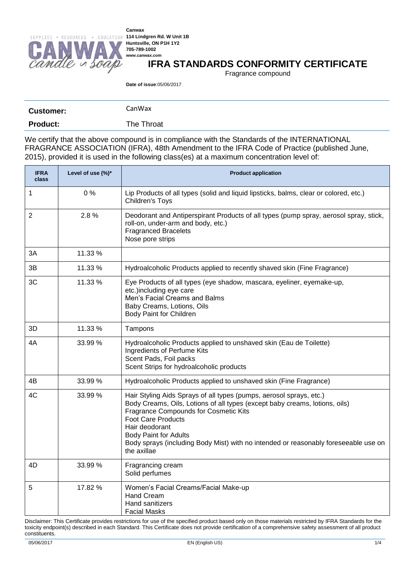

### **IFRA STANDARDS CONFORMITY CERTIFICATE**

Fragrance compound

**Date of issue**:05/06/2017

| <b>Customer:</b> | CanWax     |
|------------------|------------|
| <b>Product:</b>  | The Throat |

We certify that the above compound is in compliance with the Standards of the INTERNATIONAL FRAGRANCE ASSOCIATION (IFRA), 48th Amendment to the IFRA Code of Practice (published June, 2015), provided it is used in the following class(es) at a maximum concentration level of:

| <b>IFRA</b><br>class | Level of use (%)* | <b>Product application</b>                                                                                                                                                                                                                                                                                                                                                       |  |  |  |
|----------------------|-------------------|----------------------------------------------------------------------------------------------------------------------------------------------------------------------------------------------------------------------------------------------------------------------------------------------------------------------------------------------------------------------------------|--|--|--|
| 1                    | 0%                | Lip Products of all types (solid and liquid lipsticks, balms, clear or colored, etc.)<br>Children's Toys                                                                                                                                                                                                                                                                         |  |  |  |
| $\overline{2}$       | 2.8%              | Deodorant and Antiperspirant Products of all types (pump spray, aerosol spray, stick,<br>roll-on, under-arm and body, etc.)<br><b>Fragranced Bracelets</b><br>Nose pore strips                                                                                                                                                                                                   |  |  |  |
| 3A                   | 11.33 %           |                                                                                                                                                                                                                                                                                                                                                                                  |  |  |  |
| 3B                   | 11.33 %           | Hydroalcoholic Products applied to recently shaved skin (Fine Fragrance)                                                                                                                                                                                                                                                                                                         |  |  |  |
| 3C                   | 11.33 %           | Eye Products of all types (eye shadow, mascara, eyeliner, eyemake-up,<br>etc.)including eye care<br>Men's Facial Creams and Balms<br>Baby Creams, Lotions, Oils<br><b>Body Paint for Children</b>                                                                                                                                                                                |  |  |  |
| 3D                   | 11.33 %           | Tampons                                                                                                                                                                                                                                                                                                                                                                          |  |  |  |
| 4A                   | 33.99 %           | Hydroalcoholic Products applied to unshaved skin (Eau de Toilette)<br>Ingredients of Perfume Kits<br>Scent Pads, Foil packs<br>Scent Strips for hydroalcoholic products                                                                                                                                                                                                          |  |  |  |
| 4B                   | 33.99 %           | Hydroalcoholic Products applied to unshaved skin (Fine Fragrance)                                                                                                                                                                                                                                                                                                                |  |  |  |
| 4C                   | 33.99 %           | Hair Styling Aids Sprays of all types (pumps, aerosol sprays, etc.)<br>Body Creams, Oils, Lotions of all types (except baby creams, lotions, oils)<br>Fragrance Compounds for Cosmetic Kits<br><b>Foot Care Products</b><br>Hair deodorant<br><b>Body Paint for Adults</b><br>Body sprays (including Body Mist) with no intended or reasonably foreseeable use on<br>the axillae |  |  |  |
| 4D                   | 33.99 %           | Fragrancing cream<br>Solid perfumes                                                                                                                                                                                                                                                                                                                                              |  |  |  |
| 5                    | 17.82 %           | Women's Facial Creams/Facial Make-up<br><b>Hand Cream</b><br>Hand sanitizers<br><b>Facial Masks</b>                                                                                                                                                                                                                                                                              |  |  |  |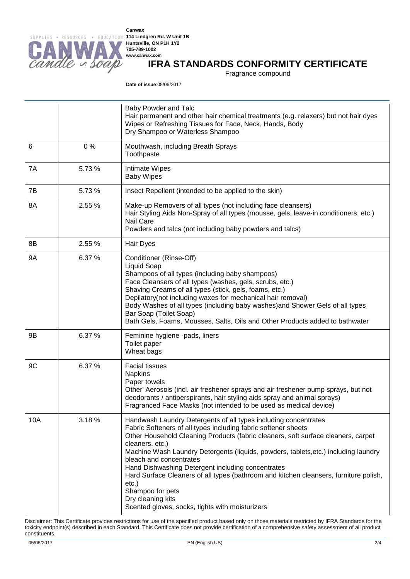

## **IFRA STANDARDS CONFORMITY CERTIFICATE**

Fragrance compound

**Date of issue**:05/06/2017

|           |        | Baby Powder and Talc<br>Hair permanent and other hair chemical treatments (e.g. relaxers) but not hair dyes<br>Wipes or Refreshing Tissues for Face, Neck, Hands, Body<br>Dry Shampoo or Waterless Shampoo                                                                                                                                                                                                                                                                                                                                                                                                        |  |  |  |
|-----------|--------|-------------------------------------------------------------------------------------------------------------------------------------------------------------------------------------------------------------------------------------------------------------------------------------------------------------------------------------------------------------------------------------------------------------------------------------------------------------------------------------------------------------------------------------------------------------------------------------------------------------------|--|--|--|
| 6         | 0%     | Mouthwash, including Breath Sprays<br>Toothpaste                                                                                                                                                                                                                                                                                                                                                                                                                                                                                                                                                                  |  |  |  |
| 7A        | 5.73%  | Intimate Wipes<br><b>Baby Wipes</b>                                                                                                                                                                                                                                                                                                                                                                                                                                                                                                                                                                               |  |  |  |
| 7B        | 5.73%  | Insect Repellent (intended to be applied to the skin)                                                                                                                                                                                                                                                                                                                                                                                                                                                                                                                                                             |  |  |  |
| 8A        | 2.55 % | Make-up Removers of all types (not including face cleansers)<br>Hair Styling Aids Non-Spray of all types (mousse, gels, leave-in conditioners, etc.)<br>Nail Care<br>Powders and talcs (not including baby powders and talcs)                                                                                                                                                                                                                                                                                                                                                                                     |  |  |  |
| 8B        | 2.55 % | Hair Dyes                                                                                                                                                                                                                                                                                                                                                                                                                                                                                                                                                                                                         |  |  |  |
| <b>9A</b> | 6.37 % | Conditioner (Rinse-Off)<br><b>Liquid Soap</b><br>Shampoos of all types (including baby shampoos)<br>Face Cleansers of all types (washes, gels, scrubs, etc.)<br>Shaving Creams of all types (stick, gels, foams, etc.)<br>Depilatory(not including waxes for mechanical hair removal)<br>Body Washes of all types (including baby washes) and Shower Gels of all types<br>Bar Soap (Toilet Soap)<br>Bath Gels, Foams, Mousses, Salts, Oils and Other Products added to bathwater                                                                                                                                  |  |  |  |
| 9B        | 6.37 % | Feminine hygiene -pads, liners<br>Toilet paper<br>Wheat bags                                                                                                                                                                                                                                                                                                                                                                                                                                                                                                                                                      |  |  |  |
| 9C        | 6.37 % | <b>Facial tissues</b><br><b>Napkins</b><br>Paper towels<br>Other' Aerosols (incl. air freshener sprays and air freshener pump sprays, but not<br>deodorants / antiperspirants, hair styling aids spray and animal sprays)<br>Fragranced Face Masks (not intended to be used as medical device)                                                                                                                                                                                                                                                                                                                    |  |  |  |
| 10A       | 3.18%  | Handwash Laundry Detergents of all types including concentrates<br>Fabric Softeners of all types including fabric softener sheets<br>Other Household Cleaning Products (fabric cleaners, soft surface cleaners, carpet<br>cleaners, etc.)<br>Machine Wash Laundry Detergents (liquids, powders, tablets, etc.) including laundry<br>bleach and concentrates<br>Hand Dishwashing Detergent including concentrates<br>Hard Surface Cleaners of all types (bathroom and kitchen cleansers, furniture polish,<br>$etc.$ )<br>Shampoo for pets<br>Dry cleaning kits<br>Scented gloves, socks, tights with moisturizers |  |  |  |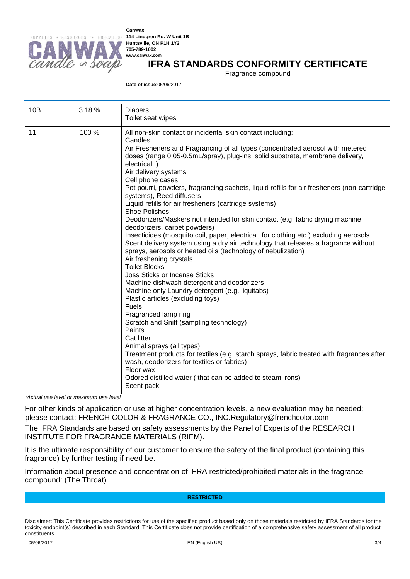

**Canwax Huntsville, ON P1H 1Y2 705-789-1002 www.canwax.com**

### **IFRA STANDARDS CONFORMITY CERTIFICATE**

Fragrance compound

**Date of issue**:05/06/2017

| 10B | 3.18% | <b>Diapers</b><br>Toilet seat wipes                                                                                                                                                                                                                                                                                                                                                                                                                                                                                                                                                                                                                                                                                                                                                                                                                                                                                                                                                                                                                                                                                                                                                                                                                                                                                                                                                                                                                                                        |  |  |
|-----|-------|--------------------------------------------------------------------------------------------------------------------------------------------------------------------------------------------------------------------------------------------------------------------------------------------------------------------------------------------------------------------------------------------------------------------------------------------------------------------------------------------------------------------------------------------------------------------------------------------------------------------------------------------------------------------------------------------------------------------------------------------------------------------------------------------------------------------------------------------------------------------------------------------------------------------------------------------------------------------------------------------------------------------------------------------------------------------------------------------------------------------------------------------------------------------------------------------------------------------------------------------------------------------------------------------------------------------------------------------------------------------------------------------------------------------------------------------------------------------------------------------|--|--|
| 11  | 100 % | All non-skin contact or incidental skin contact including:<br>Candles<br>Air Fresheners and Fragrancing of all types (concentrated aerosol with metered<br>doses (range 0.05-0.5mL/spray), plug-ins, solid substrate, membrane delivery,<br>electrical)<br>Air delivery systems<br>Cell phone cases<br>Pot pourri, powders, fragrancing sachets, liquid refills for air fresheners (non-cartridge<br>systems), Reed diffusers<br>Liquid refills for air fresheners (cartridge systems)<br><b>Shoe Polishes</b><br>Deodorizers/Maskers not intended for skin contact (e.g. fabric drying machine<br>deodorizers, carpet powders)<br>Insecticides (mosquito coil, paper, electrical, for clothing etc.) excluding aerosols<br>Scent delivery system using a dry air technology that releases a fragrance without<br>sprays, aerosols or heated oils (technology of nebulization)<br>Air freshening crystals<br><b>Toilet Blocks</b><br><b>Joss Sticks or Incense Sticks</b><br>Machine dishwash detergent and deodorizers<br>Machine only Laundry detergent (e.g. liquitabs)<br>Plastic articles (excluding toys)<br><b>Fuels</b><br>Fragranced lamp ring<br>Scratch and Sniff (sampling technology)<br>Paints<br>Cat litter<br>Animal sprays (all types)<br>Treatment products for textiles (e.g. starch sprays, fabric treated with fragrances after<br>wash, deodorizers for textiles or fabrics)<br>Floor wax<br>Odored distilled water (that can be added to steam irons)<br>Scent pack |  |  |

*\*Actual use level or maximum use level*

For other kinds of application or use at higher concentration levels, a new evaluation may be needed; please contact: FRENCH COLOR & FRAGRANCE CO., INC.Regulatory@frenchcolor.com

The IFRA Standards are based on safety assessments by the Panel of Experts of the RESEARCH INSTITUTE FOR FRAGRANCE MATERIALS (RIFM).

It is the ultimate responsibility of our customer to ensure the safety of the final product (containing this fragrance) by further testing if need be.

Information about presence and concentration of IFRA restricted/prohibited materials in the fragrance compound: (The Throat)

#### **RESTRICTED**